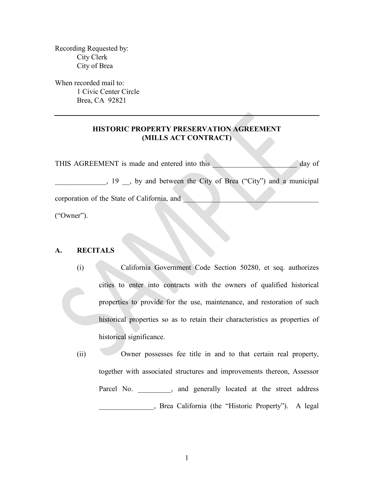Recording Requested by: City Clerk City of Brea

When recorded mail to: 1 Civic Center Circle Brea, CA 92821

## **HISTORIC PROPERTY PRESERVATION AGREEMENT (MILLS ACT CONTRACT)**

THIS AGREEMENT is made and entered into this and the state of day of \_\_\_\_\_\_\_\_\_\_\_\_\_\_, 19 \_\_, by and between the City of Brea ("City") and a municipal corporation of the State of California, and

("Owner").

## **A. RECITALS**

(i) California Government Code Section 50280, et seq. authorizes cities to enter into contracts with the owners of qualified historical properties to provide for the use, maintenance, and restoration of such historical properties so as to retain their characteristics as properties of historical significance.

(ii) Owner possesses fee title in and to that certain real property, together with associated structures and improvements thereon, Assessor Parcel No. , and generally located at the street address \_\_\_\_\_\_\_\_\_\_\_\_\_\_\_, Brea California (the "Historic Property"). A legal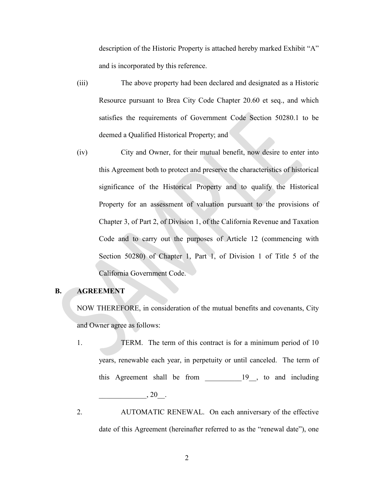description of the Historic Property is attached hereby marked Exhibit "A" and is incorporated by this reference.

- (iii) The above property had been declared and designated as a Historic Resource pursuant to Brea City Code Chapter 20.60 et seq., and which satisfies the requirements of Government Code Section 50280.1 to be deemed a Qualified Historical Property; and
- (iv) City and Owner, for their mutual benefit, now desire to enter into this Agreement both to protect and preserve the characteristics of historical significance of the Historical Property and to qualify the Historical Property for an assessment of valuation pursuant to the provisions of Chapter 3, of Part 2, of Division 1, of the California Revenue and Taxation Code and to carry out the purposes of Article 12 (commencing with Section 50280) of Chapter 1, Part 1, of Division 1 of Title 5 of the California Government Code.

## **B. AGREEMENT**

NOW THEREFORE, in consideration of the mutual benefits and covenants, City and Owner agree as follows:

- 1. TERM. The term of this contract is for a minimum period of 10 years, renewable each year, in perpetuity or until canceled. The term of this Agreement shall be from 19, to and including  $, 20$ .
- 2. AUTOMATIC RENEWAL. On each anniversary of the effective date of this Agreement (hereinafter referred to as the "renewal date"), one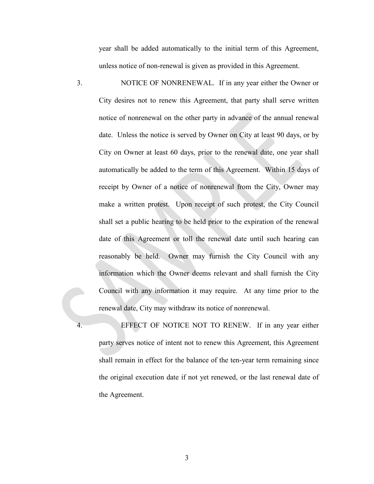year shall be added automatically to the initial term of this Agreement, unless notice of non-renewal is given as provided in this Agreement.

3. NOTICE OF NONRENEWAL. If in any year either the Owner or City desires not to renew this Agreement, that party shall serve written notice of nonrenewal on the other party in advance of the annual renewal date. Unless the notice is served by Owner on City at least 90 days, or by City on Owner at least 60 days, prior to the renewal date, one year shall automatically be added to the term of this Agreement. Within 15 days of receipt by Owner of a notice of nonrenewal from the City, Owner may make a written protest. Upon receipt of such protest, the City Council shall set a public hearing to be held prior to the expiration of the renewal date of this Agreement or toll the renewal date until such hearing can reasonably be held. Owner may furnish the City Council with any information which the Owner deems relevant and shall furnish the City Council with any information it may require. At any time prior to the renewal date, City may withdraw its notice of nonrenewal.

4. EFFECT OF NOTICE NOT TO RENEW. If in any year either party serves notice of intent not to renew this Agreement, this Agreement shall remain in effect for the balance of the ten-year term remaining since the original execution date if not yet renewed, or the last renewal date of the Agreement.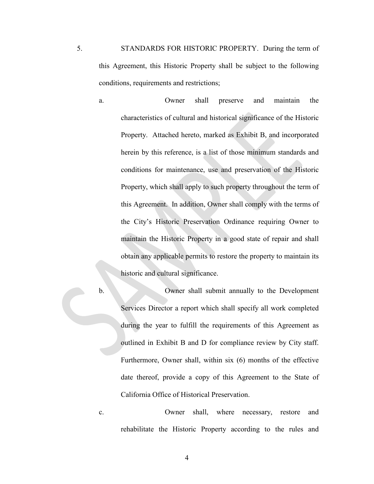5. STANDARDS FOR HISTORIC PROPERTY. During the term of this Agreement, this Historic Property shall be subject to the following conditions, requirements and restrictions;

- a. Owner shall preserve and maintain the characteristics of cultural and historical significance of the Historic Property. Attached hereto, marked as Exhibit B, and incorporated herein by this reference, is a list of those minimum standards and conditions for maintenance, use and preservation of the Historic Property, which shall apply to such property throughout the term of this Agreement. In addition, Owner shall comply with the terms of the City's Historic Preservation Ordinance requiring Owner to maintain the Historic Property in a good state of repair and shall obtain any applicable permits to restore the property to maintain its historic and cultural significance.
- 

b. Owner shall submit annually to the Development Services Director a report which shall specify all work completed during the year to fulfill the requirements of this Agreement as outlined in Exhibit B and D for compliance review by City staff. Furthermore, Owner shall, within six (6) months of the effective date thereof, provide a copy of this Agreement to the State of California Office of Historical Preservation.

c. Owner shall, where necessary, restore and rehabilitate the Historic Property according to the rules and

4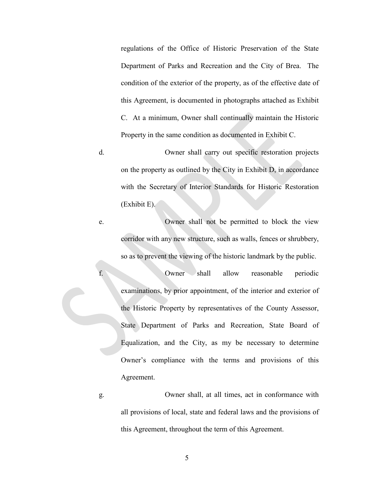regulations of the Office of Historic Preservation of the State Department of Parks and Recreation and the City of Brea. The condition of the exterior of the property, as of the effective date of this Agreement, is documented in photographs attached as Exhibit C. At a minimum, Owner shall continually maintain the Historic Property in the same condition as documented in Exhibit C.

d. Owner shall carry out specific restoration projects on the property as outlined by the City in Exhibit D, in accordance with the Secretary of Interior Standards for Historic Restoration (Exhibit E).

e. Owner shall not be permitted to block the view corridor with any new structure, such as walls, fences or shrubbery, so as to prevent the viewing of the historic landmark by the public.

f. Owner shall allow reasonable periodic examinations, by prior appointment, of the interior and exterior of the Historic Property by representatives of the County Assessor, State Department of Parks and Recreation, State Board of Equalization, and the City, as my be necessary to determine Owner's compliance with the terms and provisions of this Agreement.

g. Owner shall, at all times, act in conformance with all provisions of local, state and federal laws and the provisions of this Agreement, throughout the term of this Agreement.

5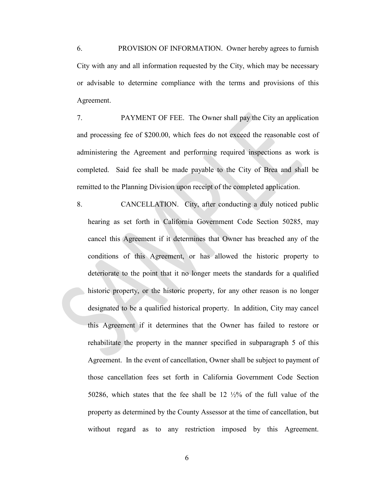6. PROVISION OF INFORMATION. Owner hereby agrees to furnish City with any and all information requested by the City, which may be necessary or advisable to determine compliance with the terms and provisions of this Agreement.

7. PAYMENT OF FEE. The Owner shall pay the City an application and processing fee of \$200.00, which fees do not exceed the reasonable cost of administering the Agreement and performing required inspections as work is completed. Said fee shall be made payable to the City of Brea and shall be remitted to the Planning Division upon receipt of the completed application.

8. CANCELLATION. City, after conducting a duly noticed public hearing as set forth in California Government Code Section 50285, may cancel this Agreement if it determines that Owner has breached any of the conditions of this Agreement, or has allowed the historic property to deteriorate to the point that it no longer meets the standards for a qualified historic property, or the historic property, for any other reason is no longer designated to be a qualified historical property. In addition, City may cancel this Agreement if it determines that the Owner has failed to restore or rehabilitate the property in the manner specified in subparagraph 5 of this Agreement. In the event of cancellation, Owner shall be subject to payment of those cancellation fees set forth in California Government Code Section 50286, which states that the fee shall be 12 ½% of the full value of the property as determined by the County Assessor at the time of cancellation, but without regard as to any restriction imposed by this Agreement.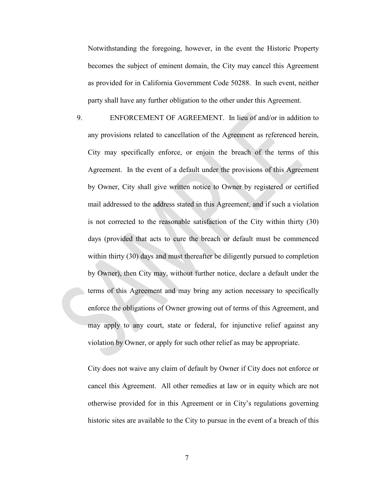Notwithstanding the foregoing, however, in the event the Historic Property becomes the subject of eminent domain, the City may cancel this Agreement as provided for in California Government Code 50288. In such event, neither party shall have any further obligation to the other under this Agreement.

9. ENFORCEMENT OF AGREEMENT. In lieu of and/or in addition to any provisions related to cancellation of the Agreement as referenced herein, City may specifically enforce, or enjoin the breach of the terms of this Agreement. In the event of a default under the provisions of this Agreement by Owner, City shall give written notice to Owner by registered or certified mail addressed to the address stated in this Agreement, and if such a violation is not corrected to the reasonable satisfaction of the City within thirty (30) days (provided that acts to cure the breach or default must be commenced within thirty (30) days and must thereafter be diligently pursued to completion by Owner), then City may, without further notice, declare a default under the terms of this Agreement and may bring any action necessary to specifically enforce the obligations of Owner growing out of terms of this Agreement, and may apply to any court, state or federal, for injunctive relief against any violation by Owner, or apply for such other relief as may be appropriate.

City does not waive any claim of default by Owner if City does not enforce or cancel this Agreement. All other remedies at law or in equity which are not otherwise provided for in this Agreement or in City's regulations governing historic sites are available to the City to pursue in the event of a breach of this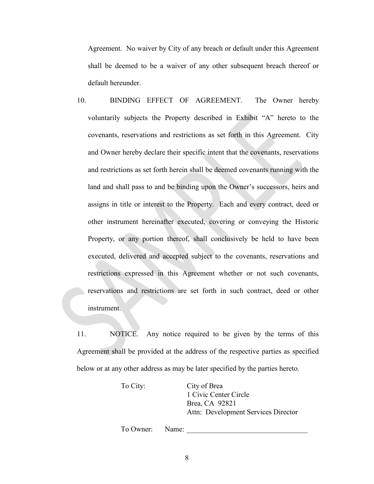Agreement. No waiver by City of any breach or default under this Agreement shall be deemed to be a waiver of any other subsequent breach thereof or default hereunder.

10. BINDING EFFECT OF AGREEMENT. The Owner hereby voluntarily subjects the Property described in Exhibit "A" hereto to the covenants, reservations and restrictions as set forth in this Agreement. City and Owner hereby declare their specific intent that the covenants, reservations and restrictions as set forth herein shall be deemed covenants running with the land and shall pass to and be binding upon the Owner's successors, heirs and assigns in title or interest to the Property. Each and every contract, deed or other instrument hereinafter executed, covering or conveying the Historic Property, or any portion thereof, shall conclusively be held to have been executed, delivered and accepted subject to the covenants, reservations and restrictions expressed in this Agreement whether or not such covenants, reservations and restrictions are set forth in such contract, deed or other instrument.

11. NOTICE. Any notice required to be given by the terms of this Agreement shall be provided at the address of the respective parties as specified below or at any other address as may be later specified by the parties hereto.

| To City: | City of Brea                        |
|----------|-------------------------------------|
|          | 1 Civic Center Circle               |
|          | Brea, CA 92821                      |
|          | Attn: Development Services Director |
|          |                                     |

To Owner: Name: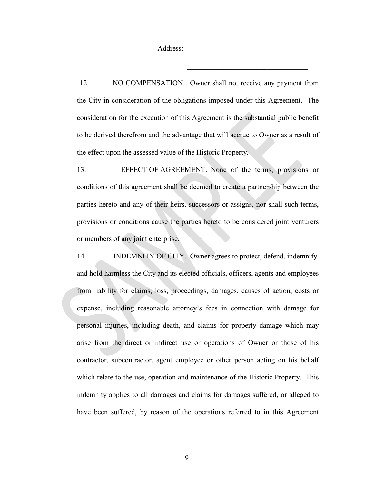Address:

12. NO COMPENSATION. Owner shall not receive any payment from the City in consideration of the obligations imposed under this Agreement. The consideration for the execution of this Agreement is the substantial public benefit to be derived therefrom and the advantage that will accrue to Owner as a result of the effect upon the assessed value of the Historic Property.

13. EFFECT OF AGREEMENT. None of the terms, provisions or conditions of this agreement shall be deemed to create a partnership between the parties hereto and any of their heirs, successors or assigns, nor shall such terms, provisions or conditions cause the parties hereto to be considered joint venturers or members of any joint enterprise.

14. INDEMNITY OF CITY. Owner agrees to protect, defend, indemnify and hold harmless the City and its elected officials, officers, agents and employees from liability for claims, loss, proceedings, damages, causes of action, costs or expense, including reasonable attorney's fees in connection with damage for personal injuries, including death, and claims for property damage which may arise from the direct or indirect use or operations of Owner or those of his contractor, subcontractor, agent employee or other person acting on his behalf which relate to the use, operation and maintenance of the Historic Property. This indemnity applies to all damages and claims for damages suffered, or alleged to have been suffered, by reason of the operations referred to in this Agreement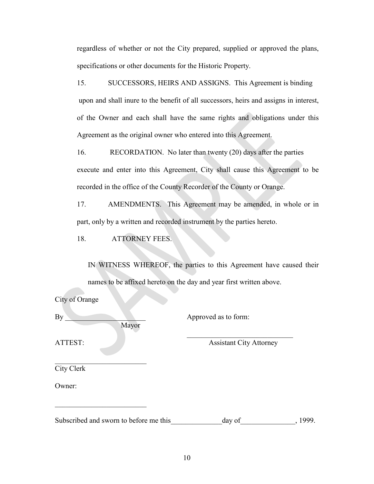regardless of whether or not the City prepared, supplied or approved the plans, specifications or other documents for the Historic Property.

15. SUCCESSORS, HEIRS AND ASSIGNS. This Agreement is binding upon and shall inure to the benefit of all successors, heirs and assigns in interest, of the Owner and each shall have the same rights and obligations under this Agreement as the original owner who entered into this Agreement.

16. RECORDATION. No later than twenty (20) days after the parties execute and enter into this Agreement, City shall cause this Agreement to be recorded in the office of the County Recorder of the County or Orange.

17. AMENDMENTS. This Agreement may be amended, in whole or in part, only by a written and recorded instrument by the parties hereto.

18. ATTORNEY FEES.

IN WITNESS WHEREOF, the parties to this Agreement have caused their names to be affixed hereto on the day and year first written above.

| City of Orange                         |                                |         |
|----------------------------------------|--------------------------------|---------|
| By<br>Mayor                            | Approved as to form:           |         |
| ATTEST:                                | <b>Assistant City Attorney</b> |         |
| City Clerk                             |                                |         |
| Owner:                                 |                                |         |
| Subscribed and sworn to before me this | day of                         | , 1999. |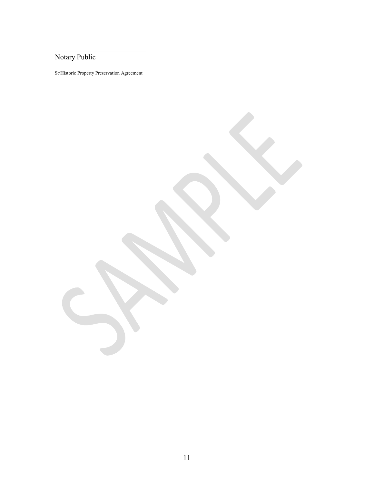Notary Public

S:\Historic Property Preservation Agreement

\_\_\_\_\_\_\_\_\_\_\_\_\_\_\_\_\_\_\_\_\_\_\_\_\_